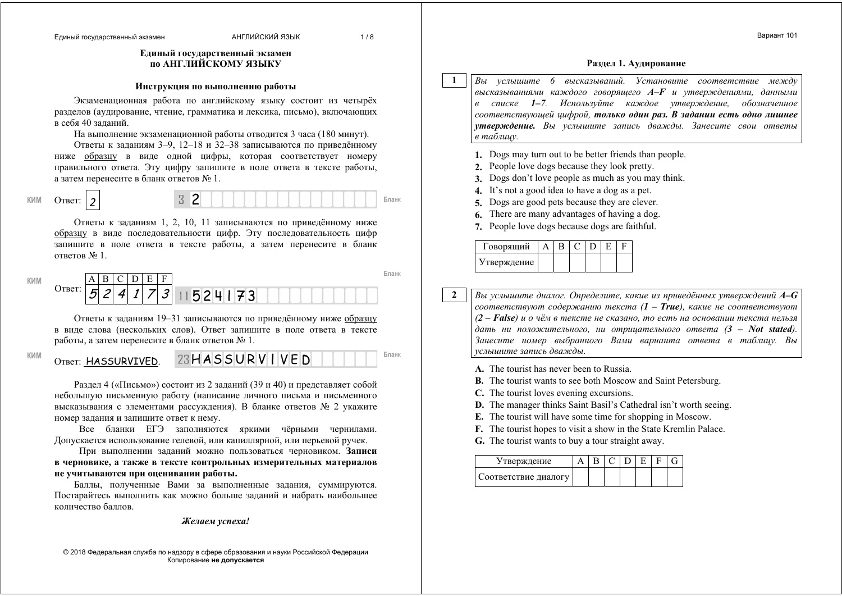Ответ: HASSURVIVED.

#### **Единый государственный экзамен по АНГЛИЙСКОМУ ЯЗЫКУ**

#### **Инструкция по выполнению работы**

Экзаменационная работа по английскому языку состоит из четырёх разделов (аудирование, чтение, грамматика <sup>и</sup> лексика, письмо), включающих <sup>в</sup> себя 40 заданий.

На выполнение экзаменационной работы отводится 3 часа (180 минут).

Ответы <sup>к</sup> заданиям 3–9, 12–18 и 32–38 записываются по приведённому ниже образцу <sup>в</sup> виде одной цифры, которая соответствует номеру правильного ответа. Эту цифру запишите <sup>в</sup> поле ответа <sup>в</sup> тексте работы, <sup>а</sup> затем перенесите <sup>в</sup> бланк ответов № 1.

Ответ: *2* 

**КИМ Бланк**

Ответы <sup>к</sup> заданиям 1, 2, 10, 11 записываются по приведённому ниже образцу <sup>в</sup> виде последовательности цифр. Эту последовательность цифр запишите <sup>в</sup> поле ответа <sup>в</sup> тексте работы, <sup>а</sup> затем перенесите <sup>в</sup> бланк ответов № 1.

| КИM |        |   |   | <b>.</b> | ┳<br>н         |                                 |  |
|-----|--------|---|---|----------|----------------|---------------------------------|--|
|     | Ответ: | ٮ | Λ |          | $\overline{3}$ | 524<br>ユマ<br>◡<br>$\sim$ $\sim$ |  |

Ответы <sup>к</sup> заданиям 19–31 записываются по приведённому ниже образцу <sup>в</sup> виде слова (нескольких слов). Ответ запишите <sup>в</sup> поле ответа <sup>в</sup> тексте работы, <sup>а</sup> затем перенесите <sup>в</sup> бланк ответов № 1.

КИМ **OTRET: HASSURVTVED** 23 HASSURVIVED **DELLARY** 

Раздел 4 («Письмо») состоит из 2 заданий (39 и 40) <sup>и</sup> представляет собой небольшую письменную работу (написание личного письма <sup>и</sup> письменного высказывания <sup>с</sup> элементами рассуждения). В бланке ответов № 2 укажите номер задания <sup>и</sup> запишите ответ <sup>к</sup> нему.

Все бланки ЕГЭ заполняются яркими чёрными чернилами. Допускается использование гелевой, или капиллярной, или перьевой ручек.

При выполнении заданий можно пользоваться черновиком. **Записи <sup>в</sup> черновике, <sup>а</sup> также <sup>в</sup> тексте контрольных измерительных материалов не учитываются при оценивании работы.**

Баллы, полученные Вами за выполненные задания, суммируются. Постарайтесь выполнить как можно больше заданий <sup>и</sup> набрать наибольшее количество баллов.

*Желаем успеха!* 

© 2018 Федеральная служба по надзору <sup>в</sup> сфере образования <sup>и</sup> науки Российской Федерации Копирование **не допускается**

#### **Раздел 1. Аудирование**

Вариант 101

*Вы услышите 6 высказываний. Установите соответствие между высказываниями каждого говорящего A–F <sup>и</sup> утверждениями, данными <sup>в</sup> списке 1–7. Используйте каждое утверждение, обозначенное соответствующей цифрой, только один раз. В задании есть одно лишнее утверждение. Вы услышите запись дважды. Занесите свои ответы <sup>в</sup> таблицу.*

- **1.** Dogs may turn out to be better friends than people.
- **2.** People love dogs because they look pretty.

**1** 

**2** 

- **3.** Dogs don't love people as much as you may think.
- **4.** It's not a good idea to have a dog as a pet.
- **5.** Dogs are good pets because they are clever.
- **6.** There are many advantages of having a dog.
- **7.** People love dogs because dogs are faithful.

| 1 оворящий  |  |  |  |
|-------------|--|--|--|
| Утверждение |  |  |  |

*Вы услышите диалог. Определите, какие из приведённых утверждений А–G соответствуют содержанию текста (1 – True), какие не соответствуют (2 – False) <sup>и</sup> <sup>о</sup> чём <sup>в</sup> тексте не сказано, то есть на основании текста нельзя*  $\partial a$ ть ни положительного, ни отрицательного ответа  $(3 - Not$  stated). *Занесите номер выбранного Вами варианта ответа <sup>в</sup> таблицу. Вы услышите запись дважды.*

**A.** The tourist has never been to Russia.

- **B.** The tourist wants to see both Moscow and Saint Petersburg.
- **C.** The tourist loves evening excursions.
- **D.** The manager thinks Saint Basil's Cathedral isn't worth seeing.
- **E.** The tourist will have some time for shopping in Moscow.
- **F.** The tourist hopes to visit a show in the State Kremlin Palace.
- **G.** The tourist wants to buy a tour straight away.

| Утверждение          |  |  |  |  |
|----------------------|--|--|--|--|
| Соответствие диалогу |  |  |  |  |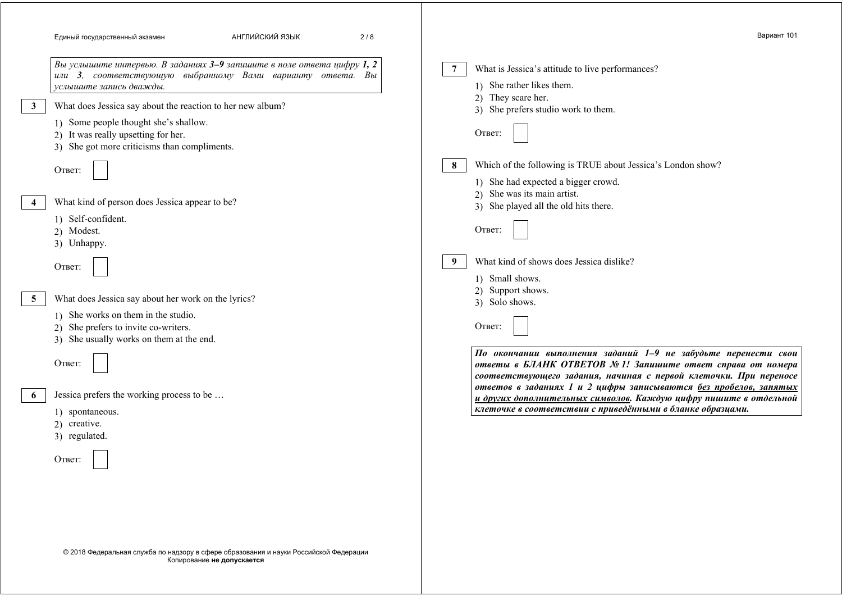| АНГЛИЙСКИЙ ЯЗЫК<br>Единый государственный экзамен<br>2/8                                                                                                                                                   | Вариант 101                                                                                                                                                                                                                                                               |
|------------------------------------------------------------------------------------------------------------------------------------------------------------------------------------------------------------|---------------------------------------------------------------------------------------------------------------------------------------------------------------------------------------------------------------------------------------------------------------------------|
| Вы услышите интервью. В заданиях 3-9 запишите в поле ответа цифру 1, 2<br>или 3, соответствующую выбранному Вами варианту ответа. Вы<br>услышите запись дважды.                                            | What is Jessica's attitude to live performances?<br>1) She rather likes them.<br>2) They scare her.                                                                                                                                                                       |
| What does Jessica say about the reaction to her new album?                                                                                                                                                 | 3) She prefers studio work to them.                                                                                                                                                                                                                                       |
| 1) Some people thought she's shallow.<br>2) It was really upsetting for her.<br>3) She got more criticisms than compliments.                                                                               | Ответ:                                                                                                                                                                                                                                                                    |
| Ответ:<br>What kind of person does Jessica appear to be?                                                                                                                                                   | Which of the following is TRUE about Jessica's London show?<br>1) She had expected a bigger crowd.<br>2) She was its main artist.<br>3) She played all the old hits there.                                                                                                |
| 1) Self-confident.<br>2) Modest.<br>3) Unhappy.                                                                                                                                                            | Ответ:                                                                                                                                                                                                                                                                    |
| Ответ:                                                                                                                                                                                                     | What kind of shows does Jessica dislike?<br>1) Small shows.                                                                                                                                                                                                               |
| What does Jessica say about her work on the lyrics?<br>$\overline{5}$<br>1) She works on them in the studio.<br>2) She prefers to invite co-writers.<br>3) She usually works on them at the end.<br>Ответ: | 2) Support shows.<br>3) Solo shows.<br>Ответ:<br>По окончании выполнения заданий 1-9 не забудьте перенести свои<br>ответы в БЛАНК ОТВЕТОВ № 1! Запишите ответ справа от номера                                                                                            |
| Jessica prefers the working process to be<br>1) spontaneous.<br>2) creative.<br>3) regulated.                                                                                                              | соответствующего задания, начиная с первой клеточки. При переносе<br>ответов в заданиях 1 и 2 цифры записываются без пробелов, запятых<br>и других дополнительных символов. Каждую цифру пишите в отдельной<br>клеточке в соответствии с приведёнными в бланке образцами. |
| Ответ:                                                                                                                                                                                                     |                                                                                                                                                                                                                                                                           |

© 2018 Федеральная служба по надзору <sup>в</sup> сфере образования <sup>и</sup> науки Российской Федерации Копирование **не допускается**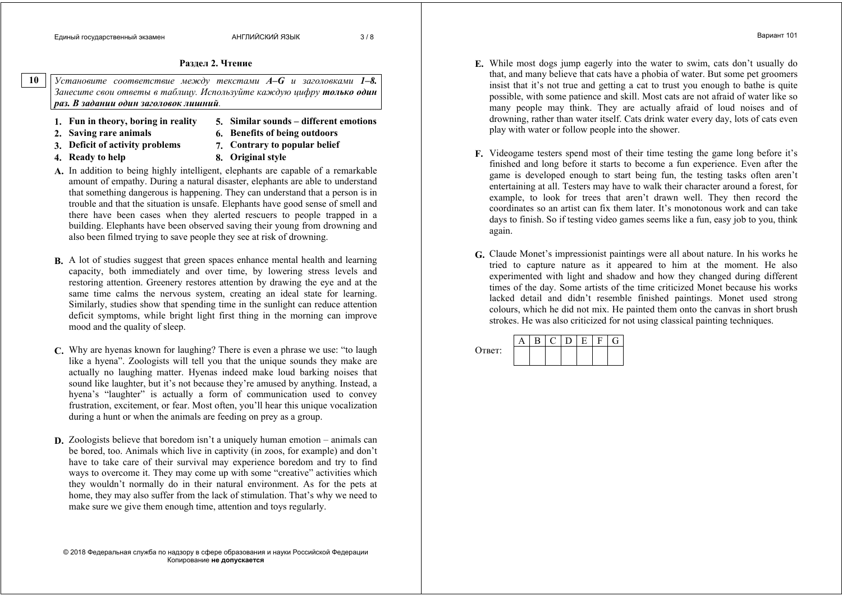**Раздел 2. Чтение**

*Установите соответствие между текстами A–G <sup>и</sup> заголовками 1–8. Занесите свои ответы <sup>в</sup> таблицу. Используйте каждую цифру только один раз. В задании один заголовок лишний.* **10** 

- **1. Fun in theory, boring in reality 5. Similar sounds different emotions**
- 
- **2. Saving rare animals 6. Benefits of being outdoors**
- **3. Deficit of activity problems 7. Contrary to popular belief**
	-
- 
- **4. Ready to help 8. Original style**
- **A.** In addition to being highly intelligent, elephants are capable of a remarkable amount of empathy. During a natural disaster, elephants are able to understand that something dangerous is happening. They can understand that a person is in trouble and that the situation is unsafe. Elephants have good sense of smell and there have been cases when they alerted rescuers to people trapped in a building. Elephants have been observed saving their young from drowning and also been filmed trying to save people they see at risk of drowning.
- **B.** A lot of studies suggest that green spaces enhance mental health and learning capacity, both immediately and over time, by lowering stress levels and restoring attention. Greenery restores attention by drawing the eye and at the same time calms the nervous system, creating an ideal state for learning. Similarly, studies show that spending time in the sunlight can reduce attention deficit symptoms, while bright light first thing in the morning can improve mood and the quality of sleep.
- **C.** Why are hyenas known for laughing? There is even a phrase we use: "to laugh like a hyena". Zoologists will tell you that the unique sounds they make are actually no laughing matter. Hyenas indeed make loud barking noises that sound like laughter, but it's not because they're amused by anything. Instead, a hyena's "laughter" is actually a form of communication used to convey frustration, excitement, or fear. Most often, you'll hear this unique vocalization during a hunt or when the animals are feeding on prey as a group.
- **D.** Zoologists believe that boredom isn't a uniquely human emotion animals can be bored, too. Animals which live in captivity (in zoos, for example) and don't have to take care of their survival may experience boredom and try to find ways to overcome it. They may come up with some "creative" activities which they wouldn't normally do in their natural environment. As for the pets at home, they may also suffer from the lack of stimulation. That's why we need to make sure we give them enough time, attention and toys regularly.

© 2018 Федеральная служба по надзору <sup>в</sup> сфере образования <sup>и</sup> науки Российской Федерации Копирование **не допускается**

- Вариант 101
- **E.** While most dogs jump eagerly into the water to swim, cats don't usually do that, and many believe that cats have a phobia of water. But some pet groomers insist that it's not true and getting a cat to trust you enough to bathe is quite possible, with some patience and skill. Most cats are not afraid of water like so many people may think. They are actually afraid of loud noises and of drowning, rather than water itself. Cats drink water every day, lots of cats even play with water or follow people into the shower.
- **F.** Videogame testers spend most of their time testing the game long before it's finished and long before it starts to become a fun experience. Even after the game is developed enough to start being fun, the testing tasks often aren't entertaining at all. Testers may have to walk their character around a forest, for example, to look for trees that aren't drawn well. They then record the coordinates so an artist can fix them later. It's monotonous work and can take days to finish. So if testing video games seems like a fun, easy job to you, think again.
- **G.** Claude Monet's impressionist paintings were all about nature. In his works he tried to capture nature as it appeared to him at the moment. He also experimented with light and shadow and how they changed during different times of the day. Some artists of the time criticized Monet because his works lacked detail and didn't resemble finished paintings. Monet used strong colours, which he did not mix. He painted them onto the canvas in short brush strokes. He was also criticized for not using classical painting techniques.

| Ответ: |  |  |  |  |
|--------|--|--|--|--|
|        |  |  |  |  |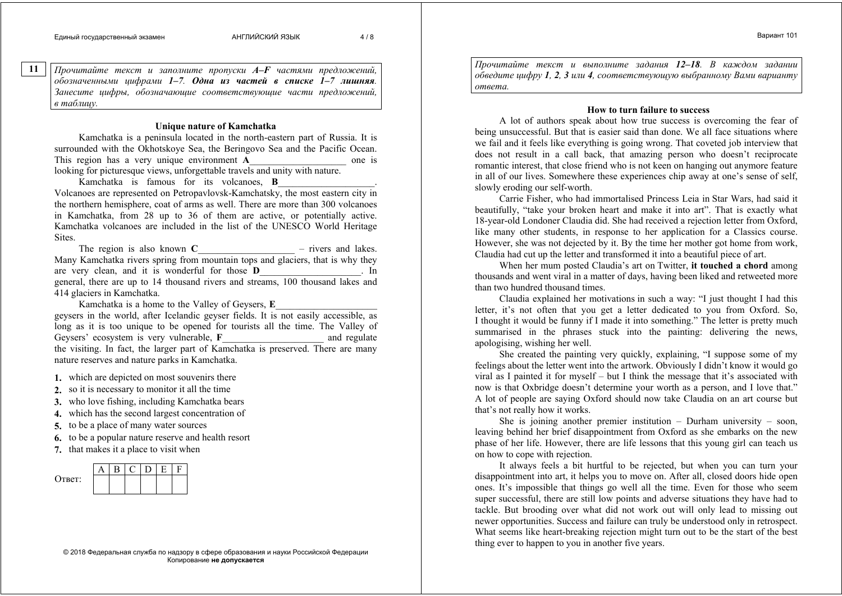**11** 

*Прочитайте текст <sup>и</sup> заполните пропуски A–F частями предложений, обозначенными цифрами 1–7. Одна из частей <sup>в</sup> списке 1–7 лишняя. Занесите цифры, обозначающие соответствующие части предложений, <sup>в</sup> таблицу.* 

## **Unique nature of Kamchatka**

Kamchatka is a peninsula located in the north-eastern part of Russia. It is surrounded with the Okhotskoye Sea, the Beringovo Sea and the Pacific Ocean. This region has a very unique environment **A** looking for picturesque views, unforgettable travels and unity with nature.

Kamchatka is famous for its volcanoes, **B**

\_\_\_\_\_\_\_\_\_\_\_\_\_\_\_\_\_\_\_\_. Volcanoes are represented on Petropavlovsk-Kamchatsky, the most eastern city in the northern hemisphere, coat of arms as well. There are more than 300 volcanoes in Kamchatka, from 28 up to 36 of them are active, or potentially active. Kamchatka volcanoes are included in the list of the UNESCO World Heritage **Sites**.

The region is also known  $C$  $-$  rivers and lakes. Many Kamchatka rivers spring from mountain tops and glaciers, that is why they are very clean, and it is wonderful for those **D**\_\_\_\_\_\_\_\_\_\_\_\_\_\_\_\_\_\_\_\_\_. In general, there are up to 14 thousand rivers and streams, 100 thousand lakes and 414 glaciers in Kamchatka.

Kamchatka is a home to the Valley of Geysers, **E**

 $\overline{\phantom{a}}$  , and the set of the set of the set of the set of the set of the set of the set of the set of the set of the set of the set of the set of the set of the set of the set of the set of the set of the set of the s geysers in the world, after Icelandic geyser fields. It is not easily accessible, as long as it is too unique to be opened for tourists all the time. The Valley of Geysers' ecosystem is very vulnerable. F and regulate the visiting. In fact, the larger part of Kamchatka is preserved. There are many nature reserves and nature parks in Kamchatka.

- **1.** which are depicted on most souvenirs there
- **2.** so it is necessary to monitor it all the time
- **3.** who love fishing, including Kamchatka bears
- **4.** which has the second largest concentration of
- **5.** to be a place of many water sources
- **6.** to be a popular nature reserve and health resort
- **7.** that makes it a place to visit when



© 2018 Федеральная служба по надзору <sup>в</sup> сфере образования <sup>и</sup> науки Российской Федерации Копирование **не допускается**

*Прочитайте текст <sup>и</sup> выполните задания 12–18. В каждом задании обведите цифру 1, 2, 3 или 4, соответствующую выбранному Вами варианту ответа.* 

## **How to turn failure to success**

A lot of authors speak about how true success is overcoming the fear of being unsuccessful. But that is easier said than done. We all face situations where we fail and it feels like everything is going wrong. That coveted job interview that does not result in a call back, that amazing person who doesn't reciprocate romantic interest, that close friend who is not keen on hanging out anymore feature in all of our lives. Somewhere these experiences chip away at one's sense of self, slowly eroding our self-worth.

Carrie Fisher, who had immortalised Princess Leia in Star Wars, had said it beautifully, "take your broken heart and make it into art". That is exactly what 18-year-old Londoner Claudia did. She had received a rejection letter from Oxford, like many other students, in response to her application for a Classics course. However, she was not dejected by it. By the time her mother got home from work, Claudia had cut up the letter and transformed it into a beautiful piece of art.

When her mum posted Claudia's art on Twitter, **it touched a chord** among thousands and went viral in a matter of days, having been liked and retweeted more than two hundred thousand times.

Claudia explained her motivations in such a way: "I just thought I had this letter, it's not often that you get a letter dedicated to you from Oxford. So, I thought it would be funny if I made it into something." The letter is pretty much summarised in the phrases stuck into the painting: delivering the news, apologising, wishing her well.

She created the painting very quickly, explaining, "I suppose some of my feelings about the letter went into the artwork. Obviously I didn't know it would go viral as I painted it for myself – but I think the message that it's associated with now is that Oxbridge doesn't determine your worth as a person, and I love that." A lot of people are saying Oxford should now take Claudia on an art course but that's not really how it works.

She is joining another premier institution – Durham university – soon, leaving behind her brief disappointment from Oxford as she embarks on the new phase of her life. However, there are life lessons that this young girl can teach us on how to cope with rejection.

It always feels a bit hurtful to be rejected, but when you can turn your disappointment into art, it helps you to move on. After all, closed doors hide open ones. It's impossible that things go well all the time. Even for those who seem super successful, there are still low points and adverse situations they have had to tackle. But brooding over what did not work out will only lead to missing out newer opportunities. Success and failure can truly be understood only in retrospect. What seems like heart-breaking rejection might turn out to be the start of the best thing ever to happen to you in another five years.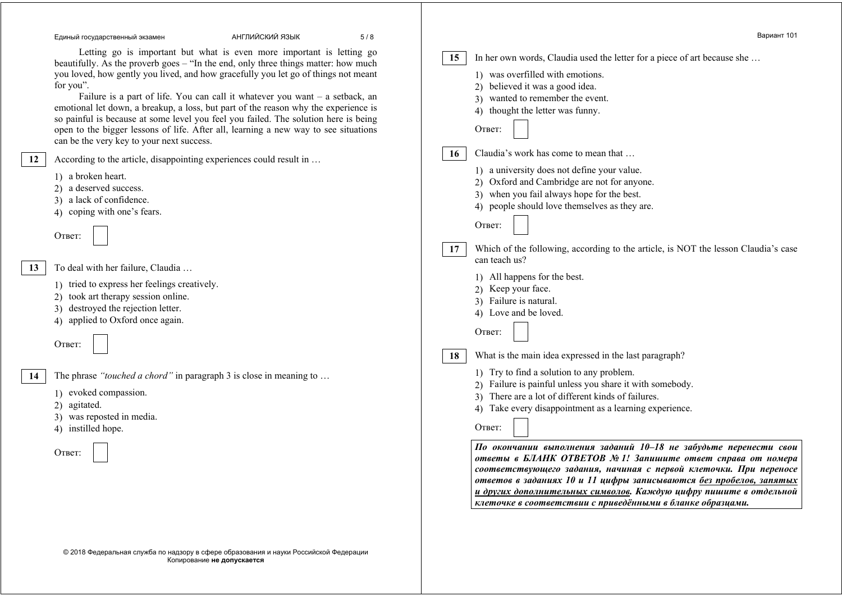#### Единый государственный экзамен АНГЛИЙСКИЙ ЯЗЫК 5 / 8

Letting go is important but what is even more important is letting go beautifully. As the proverb goes – "In the end, only three things matter: how much you loved, how gently you lived, and how gracefully you let go of things not meant for you".

Failure is a part of life. You can call it whatever you want – a setback, an emotional let down, a breakup, a loss, but part of the reason why the experience is so painful is because at some level you feel you failed. The solution here is being open to the bigger lessons of life. After all, learning a new way to see situations can be the very key to your next success.

According to the article, disappointing experiences could result in …

- 1) a broken heart.
- 2) a deserved success.
- 3) a lack of confidence.
- 4) coping with one's fears.

Ответ:

**12** 

**13** 

**14** 

To deal with her failure, Claudia …

- 1) tried to express her feelings creatively.
- 2) took art therapy session online.
- 3) destroyed the rejection letter.
- 4) applied to Oxford once again.

Ответ:

The phrase *"touched a chord"* in paragraph 3 is close

- 1) evoked compassion.
- 2) agitated.
- 3) was reposted in media.
- 4) instilled hope.

|                   |    | По окончании выполнения заданий 10-18 не забудьте перенести свои<br>ответы в БЛАНК ОТВЕТОВ № 1! Запишите ответ справа от номера<br>соответствующего задания, начиная с первой клеточки. При переносе<br>ответов в заданиях 10 и 11 цифры записываются без пробелов, запятых<br>и других дополнительных символов. Каждую цифру пишите в отдельной |
|-------------------|----|--------------------------------------------------------------------------------------------------------------------------------------------------------------------------------------------------------------------------------------------------------------------------------------------------------------------------------------------------|
| ose in meaning to | 18 | Failure is natural.<br>4) Love and be loved.<br>Ответ:<br>What is the main idea expressed in the last paragraph?<br>1) Try to find a solution to any problem.<br>Failure is painful unless you share it with somebody.<br>There are a lot of different kinds of failures.<br>Take every disappointment as a learning experience.<br>4)<br>Ответ: |
|                   | 17 | 3) when you fail always hope for the best.<br>4) people should love themselves as they are.<br>Ответ:<br>Which of the following, according to the article, is NOT the lesson Claudia's case<br>can teach us?<br>1) All happens for the best.<br>Keep your face.<br>(2)                                                                           |

Ответ:

**15** 

**16** 

In her own words, Claudia used the letter for a piece of art because she …

*клеточке <sup>в</sup> соответствии <sup>с</sup> приведёнными <sup>в</sup> бланке образцами.*

1) was overfilled with emotions. 2) believed it was a good idea. 3) wanted to remember the event. 4) thought the letter was funny.

Claudia's work has come to mean that … 1) a university does not define your value. 2) Oxford and Cambridge are not for anyone.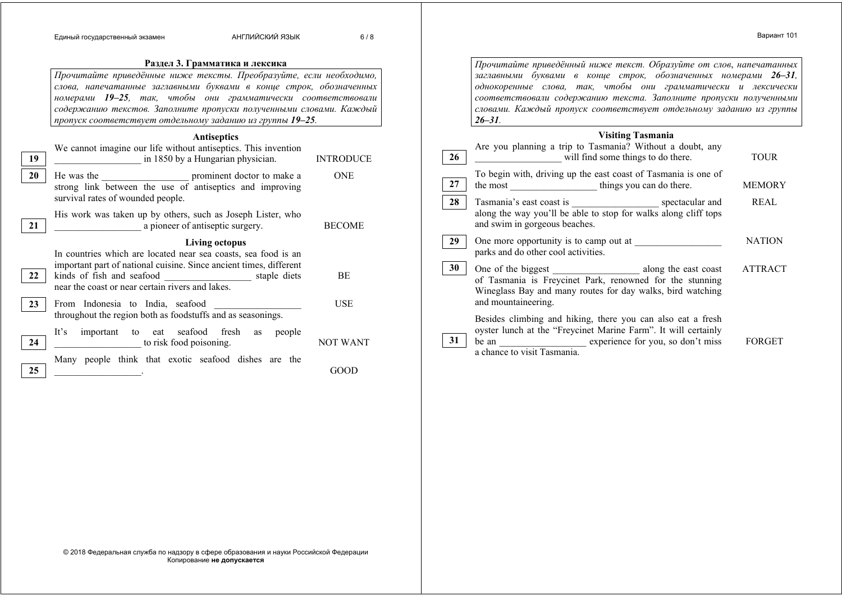#### **Раздел 3. Грамматика <sup>и</sup> лексика** *Прочитайте приведённые ниже тексты. Преобразуйте, если необходимо, слова, напечатанные заглавными буквами <sup>в</sup> конце строк, обозначенных номерами 19–25, так, чтобы они грамматически соответствовали содержанию текстов. Заполните пропуски полученными словами. Каждый пропуск соответствует отдельному заданию из группы 19–25.*  **Antiseptics**  We cannot imagine our life without antiseptics. This invention \_\_\_\_\_\_\_\_\_\_\_\_\_\_\_\_\_\_ in 1850 by a Hungarian physician. INTRODUCE He was the service prominent doctor to make a strong link between the use of antiseptics and improving survival rates of wounded people. ONE His work was taken up by others, such as Joseph Lister, who a pioneer of antiseptic surgery. BECOME **Living octopus**  In countries which are located near sea coasts, sea food is an important part of national cuisine. Since ancient times, different kinds of fish and seafood \_\_\_\_\_\_\_\_\_\_\_\_\_\_\_\_\_\_ staple diets near the coast or near certain rivers and lakes. **BE** From Indonesia to India, seafood throughout the region both as foodstuffs and as seasonings. **USE** It's important to eat seafood fresh as people to risk food poisoning. NOT WANT Many people think that exotic seafood dishes are the  $\overline{GOOD}$ **19 20 21 22 23 24 25**  *Прочитайте приведённый ниже текст. Образуйте от слов*, *напечатанных заглавными буквами <sup>в</sup> конце строк, обозначенных номерами 26–31, однокоренные слова, так, чтобы они грамматически <sup>и</sup> лексически соответствовали содержанию текста. Заполните пропуски полученными словами. Каждый пропуск соответствует отдельному заданию из группы 26–31.* **Visiting Tasmania**  Are you planning a trip to Tasmania? Without a doubt, any will find some things to do there. TOUR To begin with, driving up the east coast of Tasmania is one of<br>the most<br>things you can do there. the most things you can do there. MEMORY Tasmania's east coast is **spectacular and** along the way you'll be able to stop for walks along cliff tops and swim in gorgeous beaches. REAL One more opportunity is to camp out at parks and do other cool activities. NATION One of the biggest \_\_\_\_\_\_\_\_\_\_\_\_\_\_\_\_\_\_\_\_\_\_\_\_ along the east coast of Tasmania is Freycinet Park, renowned for the stunning Wineglass Bay and many routes for day walks, bird watching and mountaineering. ATTRACT Besides climbing and hiking, there you can also eat a fresh oyster lunch at the "Freycinet Marine Farm". It will certainly be an experience for you, so don't miss a chance to visit Tasmania. FORGET **26 27 28 29 30 31**

© 2018 Федеральная служба по надзору <sup>в</sup> сфере образования <sup>и</sup> науки Российской Федерации Копирование **не допускается**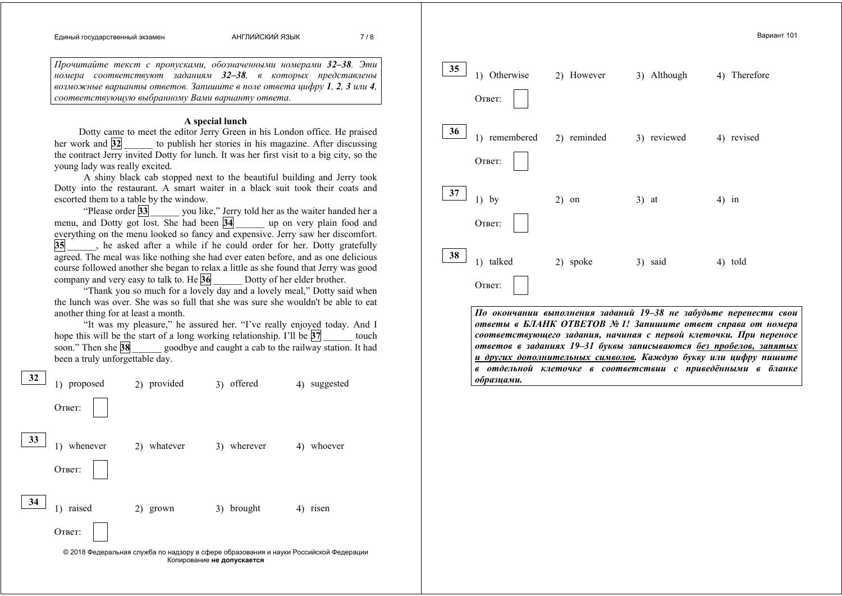#### Единый государственный экзамен АНГЛИЙСКИЙ ЯЗЫК 7 / 8

*Прочитайте текст <sup>с</sup> пропусками, обозначенными номерами 32–38. Эти номера соответствуют заданиям 32–38, <sup>в</sup> которых представлены возможные варианты ответов. Запишите <sup>в</sup> поле ответа цифру 1, 2, 3 или 4, соответствующую выбранному Вами варианту ответа.* 

#### **A special lunch**

Dotty came to meet the editor Jerry Green in his London office. He praised her work and **32 b** to publish her stories in his magazine. After discussing the contract Jerry invited Dotty for lunch. It was her first visit to a big city, so the young lady was really excited.

A shiny black cab stopped next to the beautiful building and Jerry took Dotty into the restaurant. A smart waiter in a black suit took their coats and escorted them to a table by the window.

"Please order 33 vou like," Jerry told her as the waiter handed her a menu, and Dotty got lost. She had been **34** \_\_\_\_\_\_ up on very plain food and everything on the menu looked so fancy and expensive. Jerry saw her discomfort. **35** \_\_\_\_\_\_, he asked after a while if he could order for her. Dotty gratefully agreed. The meal was like nothing she had ever eaten before, and as one delicious course followed another she began to relax a little as she found that Jerry was good company and very easy to talk to. He **36** Dotty of her elder brother.

"Thank you so much for a lovely day and a lovely meal," Dotty said when the lunch was over. She was so full that she was sure she wouldn't be able to eat another thing for at least a month.

"It was my pleasure," he assured her. "I've really enjoyed today. And I hope this will be the start of a long working relationship. I'll be **37** *Learning relationship.* I'll be **37** soon." Then she **38 exercise goodbye and caught a cab to the railway station. It had** been a truly unforgettable day.





*По окончании выполнения заданий 19–38 не забудьте перенести свои ответы <sup>в</sup> БЛАНК ОТВЕТОВ № 1! Запишите ответ справа от номера соответствующего задания, начиная <sup>с</sup> первой клеточки. При переносе ответов <sup>в</sup> заданиях 19–31 буквы записываются без пробелов, запятых <sup>и</sup> других дополнительных символов. Каждую букву или цифру пишите <sup>в</sup> отдельной клеточке <sup>в</sup> соответствии <sup>с</sup> приведёнными <sup>в</sup> бланке образцами.*